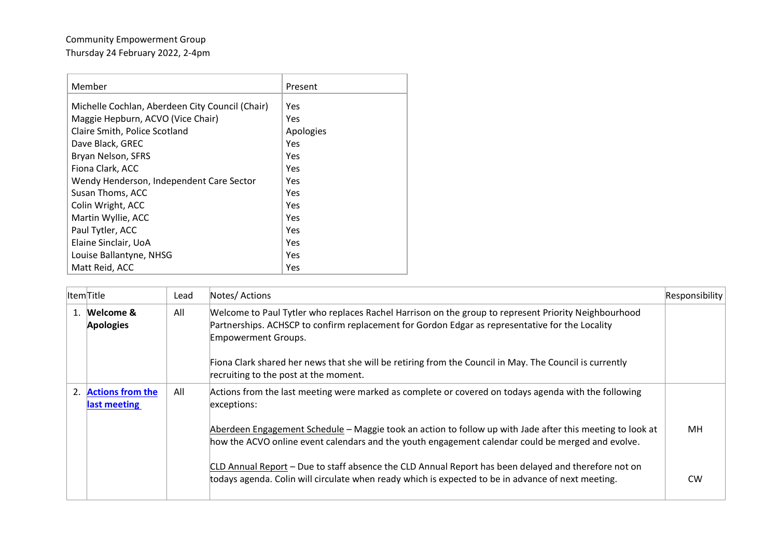## Community Empowerment Group Thursday 24 February 2022, 2-4pm

| Member                                          | Present   |
|-------------------------------------------------|-----------|
| Michelle Cochlan, Aberdeen City Council (Chair) | Yes       |
| Maggie Hepburn, ACVO (Vice Chair)               | Yes       |
| Claire Smith, Police Scotland                   | Apologies |
| Dave Black, GREC                                | Yes       |
| Bryan Nelson, SFRS                              | Yes       |
| Fiona Clark, ACC                                | Yes       |
| Wendy Henderson, Independent Care Sector        | Yes       |
| Susan Thoms, ACC                                | Yes       |
| Colin Wright, ACC                               | Yes       |
| Martin Wyllie, ACC                              | Yes       |
| Paul Tytler, ACC                                | Yes       |
| Elaine Sinclair, UoA                            | Yes       |
| Louise Ballantyne, NHSG                         | Yes       |
| Matt Reid, ACC                                  | Yes       |

| <b>ItemTitle</b>                    | Lead | Notes/Actions                                                                                                                                                                                                                  | Responsibility |
|-------------------------------------|------|--------------------------------------------------------------------------------------------------------------------------------------------------------------------------------------------------------------------------------|----------------|
| 1. Welcome &<br><b>Apologies</b>    | All  | Welcome to Paul Tytler who replaces Rachel Harrison on the group to represent Priority Neighbourhood<br>Partnerships. ACHSCP to confirm replacement for Gordon Edgar as representative for the Locality<br>Empowerment Groups. |                |
|                                     |      | Fiona Clark shared her news that she will be retiring from the Council in May. The Council is currently<br>recruiting to the post at the moment.                                                                               |                |
| 2. Actions from the<br>last meeting | All  | Actions from the last meeting were marked as complete or covered on todays agenda with the following<br>exceptions:                                                                                                            |                |
|                                     |      | Aberdeen Engagement Schedule - Maggie took an action to follow up with Jade after this meeting to look at<br>how the ACVO online event calendars and the youth engagement calendar could be merged and evolve.                 | MН             |
|                                     |      | CLD Annual Report – Due to staff absence the CLD Annual Report has been delayed and therefore not on<br>todays agenda. Colin will circulate when ready which is expected to be in advance of next meeting.                     | <b>CW</b>      |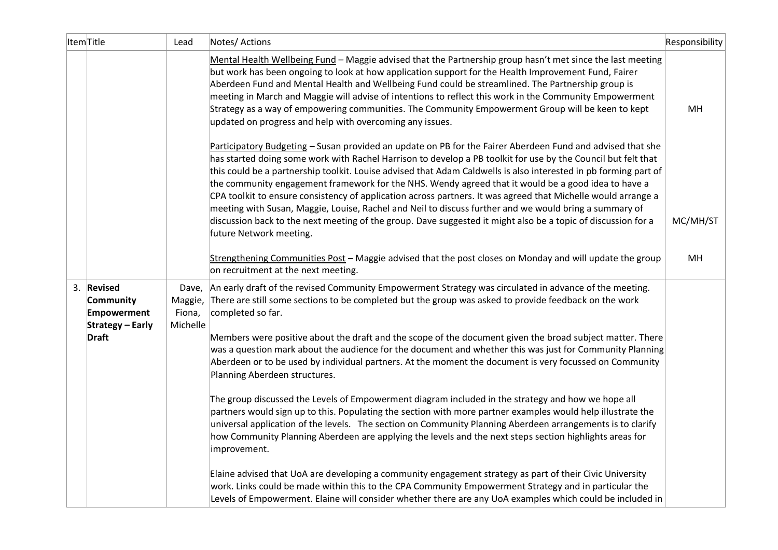| ItemTitle |                                                                                   | Lead                                   | Notes/ Actions                                                                                                                                                                                                                                                                                                                                                                                                                                                                                                                                                                                                                                                                                                                                                                                                                | Responsibility |
|-----------|-----------------------------------------------------------------------------------|----------------------------------------|-------------------------------------------------------------------------------------------------------------------------------------------------------------------------------------------------------------------------------------------------------------------------------------------------------------------------------------------------------------------------------------------------------------------------------------------------------------------------------------------------------------------------------------------------------------------------------------------------------------------------------------------------------------------------------------------------------------------------------------------------------------------------------------------------------------------------------|----------------|
|           |                                                                                   |                                        | Mental Health Wellbeing Fund - Maggie advised that the Partnership group hasn't met since the last meeting<br>but work has been ongoing to look at how application support for the Health Improvement Fund, Fairer<br>Aberdeen Fund and Mental Health and Wellbeing Fund could be streamlined. The Partnership group is<br>meeting in March and Maggie will advise of intentions to reflect this work in the Community Empowerment<br>Strategy as a way of empowering communities. The Community Empowerment Group will be keen to kept<br>updated on progress and help with overcoming any issues.                                                                                                                                                                                                                           | MН             |
|           |                                                                                   |                                        | Participatory Budgeting - Susan provided an update on PB for the Fairer Aberdeen Fund and advised that she<br>has started doing some work with Rachel Harrison to develop a PB toolkit for use by the Council but felt that<br>this could be a partnership toolkit. Louise advised that Adam Caldwells is also interested in pb forming part of<br>the community engagement framework for the NHS. Wendy agreed that it would be a good idea to have a<br>CPA toolkit to ensure consistency of application across partners. It was agreed that Michelle would arrange a<br>meeting with Susan, Maggie, Louise, Rachel and Neil to discuss further and we would bring a summary of<br>discussion back to the next meeting of the group. Dave suggested it might also be a topic of discussion for a<br>future Network meeting. | MC/MH/ST       |
|           |                                                                                   |                                        | Strengthening Communities Post - Maggie advised that the post closes on Monday and will update the group<br>on recruitment at the next meeting.                                                                                                                                                                                                                                                                                                                                                                                                                                                                                                                                                                                                                                                                               | MH             |
|           | 3. Revised<br>Community<br>Empowerment<br><b>Strategy - Early</b><br><b>Draft</b> | Dave,<br>Maggie,<br>Fiona,<br>Michelle | An early draft of the revised Community Empowerment Strategy was circulated in advance of the meeting.<br>There are still some sections to be completed but the group was asked to provide feedback on the work<br>completed so far.<br>Members were positive about the draft and the scope of the document given the broad subject matter. There<br>was a question mark about the audience for the document and whether this was just for Community Planning<br>Aberdeen or to be used by individual partners. At the moment the document is very focussed on Community<br>Planning Aberdeen structures.                                                                                                                                                                                                                     |                |
|           |                                                                                   |                                        | The group discussed the Levels of Empowerment diagram included in the strategy and how we hope all<br>partners would sign up to this. Populating the section with more partner examples would help illustrate the<br>universal application of the levels. The section on Community Planning Aberdeen arrangements is to clarify<br>how Community Planning Aberdeen are applying the levels and the next steps section highlights areas for<br>improvement.                                                                                                                                                                                                                                                                                                                                                                    |                |
|           |                                                                                   |                                        | Elaine advised that UoA are developing a community engagement strategy as part of their Civic University<br>work. Links could be made within this to the CPA Community Empowerment Strategy and in particular the<br>Levels of Empowerment. Elaine will consider whether there are any UoA examples which could be included in                                                                                                                                                                                                                                                                                                                                                                                                                                                                                                |                |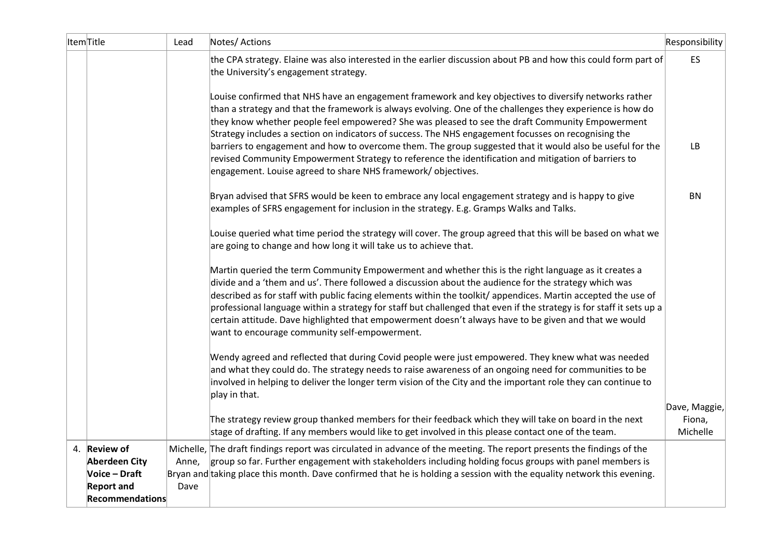| ItemTitle |                                                                                                      | Lead          | Notes/ Actions                                                                                                                                                                                                                                                                                                                                                                                                                                                                                                                                                                                                                                                                                                       | Responsibility                      |
|-----------|------------------------------------------------------------------------------------------------------|---------------|----------------------------------------------------------------------------------------------------------------------------------------------------------------------------------------------------------------------------------------------------------------------------------------------------------------------------------------------------------------------------------------------------------------------------------------------------------------------------------------------------------------------------------------------------------------------------------------------------------------------------------------------------------------------------------------------------------------------|-------------------------------------|
|           |                                                                                                      |               | the CPA strategy. Elaine was also interested in the earlier discussion about PB and how this could form part of<br>the University's engagement strategy.                                                                                                                                                                                                                                                                                                                                                                                                                                                                                                                                                             | ES                                  |
|           |                                                                                                      |               | Louise confirmed that NHS have an engagement framework and key objectives to diversify networks rather<br>than a strategy and that the framework is always evolving. One of the challenges they experience is how do<br>they know whether people feel empowered? She was pleased to see the draft Community Empowerment<br>Strategy includes a section on indicators of success. The NHS engagement focusses on recognising the<br>barriers to engagement and how to overcome them. The group suggested that it would also be useful for the<br>revised Community Empowerment Strategy to reference the identification and mitigation of barriers to<br>engagement. Louise agreed to share NHS framework/objectives. | LB                                  |
|           |                                                                                                      |               | Bryan advised that SFRS would be keen to embrace any local engagement strategy and is happy to give<br>examples of SFRS engagement for inclusion in the strategy. E.g. Gramps Walks and Talks.                                                                                                                                                                                                                                                                                                                                                                                                                                                                                                                       | <b>BN</b>                           |
|           |                                                                                                      |               | Louise queried what time period the strategy will cover. The group agreed that this will be based on what we<br>are going to change and how long it will take us to achieve that.                                                                                                                                                                                                                                                                                                                                                                                                                                                                                                                                    |                                     |
|           |                                                                                                      |               | Martin queried the term Community Empowerment and whether this is the right language as it creates a<br>divide and a 'them and us'. There followed a discussion about the audience for the strategy which was<br>described as for staff with public facing elements within the toolkit/ appendices. Martin accepted the use of<br>professional language within a strategy for staff but challenged that even if the strategy is for staff it sets up a<br>certain attitude. Dave highlighted that empowerment doesn't always have to be given and that we would<br>want to encourage community self-empowerment.                                                                                                     |                                     |
|           |                                                                                                      |               | Wendy agreed and reflected that during Covid people were just empowered. They knew what was needed<br>and what they could do. The strategy needs to raise awareness of an ongoing need for communities to be<br>involved in helping to deliver the longer term vision of the City and the important role they can continue to<br>play in that.                                                                                                                                                                                                                                                                                                                                                                       |                                     |
|           |                                                                                                      |               | The strategy review group thanked members for their feedback which they will take on board in the next<br>stage of drafting. If any members would like to get involved in this please contact one of the team.                                                                                                                                                                                                                                                                                                                                                                                                                                                                                                       | Dave, Maggie,<br>Fiona,<br>Michelle |
|           | 4. Review of<br><b>Aberdeen City</b><br>Voice - Draft<br><b>Report and</b><br><b>Recommendations</b> | Anne,<br>Dave | Michelle, The draft findings report was circulated in advance of the meeting. The report presents the findings of the<br>group so far. Further engagement with stakeholders including holding focus groups with panel members is<br>Bryan and taking place this month. Dave confirmed that he is holding a session with the equality network this evening.                                                                                                                                                                                                                                                                                                                                                           |                                     |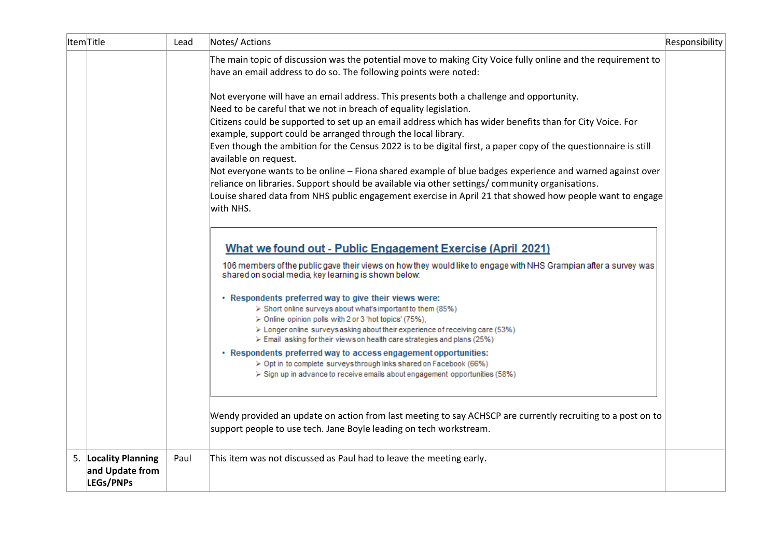| ItemTitle |                                                      | Lead | Notes/ Actions                                                                                                                                                                                                                                                                                                                              | Responsibility |
|-----------|------------------------------------------------------|------|---------------------------------------------------------------------------------------------------------------------------------------------------------------------------------------------------------------------------------------------------------------------------------------------------------------------------------------------|----------------|
|           |                                                      |      | The main topic of discussion was the potential move to making City Voice fully online and the requirement to<br>have an email address to do so. The following points were noted:                                                                                                                                                            |                |
|           |                                                      |      | Not everyone will have an email address. This presents both a challenge and opportunity.<br>Need to be careful that we not in breach of equality legislation.<br>Citizens could be supported to set up an email address which has wider benefits than for City Voice. For                                                                   |                |
|           |                                                      |      | example, support could be arranged through the local library.<br>Even though the ambition for the Census 2022 is to be digital first, a paper copy of the questionnaire is still<br>available on request.                                                                                                                                   |                |
|           |                                                      |      | Not everyone wants to be online - Fiona shared example of blue badges experience and warned against over<br>reliance on libraries. Support should be available via other settings/community organisations.<br>Louise shared data from NHS public engagement exercise in April 21 that showed how people want to engage                      |                |
|           |                                                      |      | with NHS.                                                                                                                                                                                                                                                                                                                                   |                |
|           |                                                      |      | What we found out - Public Engagement Exercise (April 2021)<br>106 members of the public gave their views on how they would like to engage with NHS Grampian after a survey was<br>shared on social media, key learning is shown below.                                                                                                     |                |
|           |                                                      |      | · Respondents preferred way to give their views were:<br>> Short online surveys about what's important to them (85%)<br>> Online opinion polls with 2 or 3 'hot topics' (75%),<br>> Longer online surveys asking about their experience of receiving care (53%)<br>> Email asking for their views on health care strategies and plans (25%) |                |
|           |                                                      |      | · Respondents preferred way to access engagement opportunities:<br>> Opt in to complete surveysthrough links shared on Facebook (66%)<br>> Sign up in advance to receive emails about engagement opportunities (58%)                                                                                                                        |                |
|           |                                                      |      | Wendy provided an update on action from last meeting to say ACHSCP are currently recruiting to a post on to<br>support people to use tech. Jane Boyle leading on tech workstream.                                                                                                                                                           |                |
|           | 5. Locality Planning<br>and Update from<br>LEGs/PNPs | Paul | This item was not discussed as Paul had to leave the meeting early.                                                                                                                                                                                                                                                                         |                |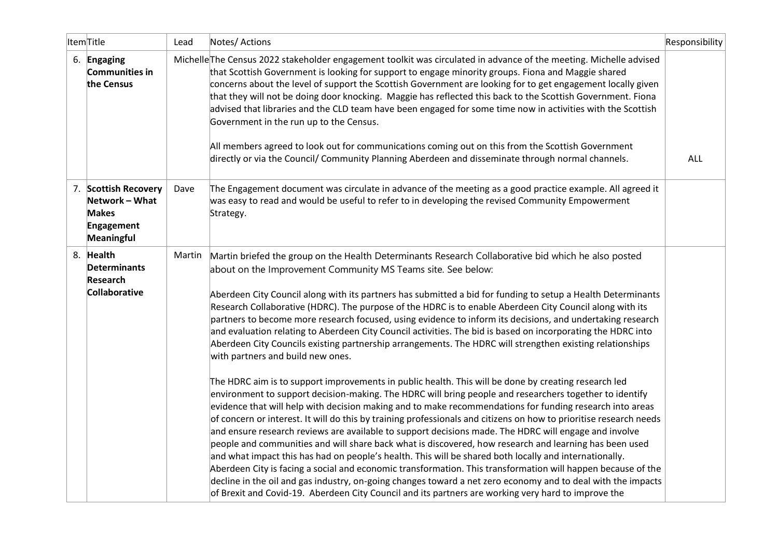| ItemTitle                                                                          | Lead   | Notes/ Actions                                                                                                                                                                                                                                                                                                                                                                                                                                                                                                                                                                                                                                                                                                                                                                                                                                                                                                                                                                                                                                                                                                                                                                                                                                                                                                                                                                                                                                                                                                                                                                                                                                                                                                                                                                                                                                                                                           | Responsibility |
|------------------------------------------------------------------------------------|--------|----------------------------------------------------------------------------------------------------------------------------------------------------------------------------------------------------------------------------------------------------------------------------------------------------------------------------------------------------------------------------------------------------------------------------------------------------------------------------------------------------------------------------------------------------------------------------------------------------------------------------------------------------------------------------------------------------------------------------------------------------------------------------------------------------------------------------------------------------------------------------------------------------------------------------------------------------------------------------------------------------------------------------------------------------------------------------------------------------------------------------------------------------------------------------------------------------------------------------------------------------------------------------------------------------------------------------------------------------------------------------------------------------------------------------------------------------------------------------------------------------------------------------------------------------------------------------------------------------------------------------------------------------------------------------------------------------------------------------------------------------------------------------------------------------------------------------------------------------------------------------------------------------------|----------------|
| 6. Engaging<br><b>Communities in</b><br>the Census                                 |        | Michelle The Census 2022 stakeholder engagement toolkit was circulated in advance of the meeting. Michelle advised<br>that Scottish Government is looking for support to engage minority groups. Fiona and Maggie shared<br>concerns about the level of support the Scottish Government are looking for to get engagement locally given<br>that they will not be doing door knocking. Maggie has reflected this back to the Scottish Government. Fiona<br>advised that libraries and the CLD team have been engaged for some time now in activities with the Scottish<br>Government in the run up to the Census.<br>All members agreed to look out for communications coming out on this from the Scottish Government<br>directly or via the Council/ Community Planning Aberdeen and disseminate through normal channels.                                                                                                                                                                                                                                                                                                                                                                                                                                                                                                                                                                                                                                                                                                                                                                                                                                                                                                                                                                                                                                                                               | <b>ALL</b>     |
| 7. Scottish Recovery<br>Network - What<br><b>Makes</b><br>Engagement<br>Meaningful | Dave   | The Engagement document was circulate in advance of the meeting as a good practice example. All agreed it<br>was easy to read and would be useful to refer to in developing the revised Community Empowerment<br>Strategy.                                                                                                                                                                                                                                                                                                                                                                                                                                                                                                                                                                                                                                                                                                                                                                                                                                                                                                                                                                                                                                                                                                                                                                                                                                                                                                                                                                                                                                                                                                                                                                                                                                                                               |                |
| 8. Health<br><b>Determinants</b><br><b>Research</b><br><b>Collaborative</b>        | Martin | Martin briefed the group on the Health Determinants Research Collaborative bid which he also posted<br>about on the Improvement Community MS Teams site. See below:<br>Aberdeen City Council along with its partners has submitted a bid for funding to setup a Health Determinants<br>Research Collaborative (HDRC). The purpose of the HDRC is to enable Aberdeen City Council along with its<br>partners to become more research focused, using evidence to inform its decisions, and undertaking research<br>and evaluation relating to Aberdeen City Council activities. The bid is based on incorporating the HDRC into<br>Aberdeen City Councils existing partnership arrangements. The HDRC will strengthen existing relationships<br>with partners and build new ones.<br>The HDRC aim is to support improvements in public health. This will be done by creating research led<br>environment to support decision-making. The HDRC will bring people and researchers together to identify<br>evidence that will help with decision making and to make recommendations for funding research into areas<br>of concern or interest. It will do this by training professionals and citizens on how to prioritise research needs<br>and ensure research reviews are available to support decisions made. The HDRC will engage and involve<br>people and communities and will share back what is discovered, how research and learning has been used<br>and what impact this has had on people's health. This will be shared both locally and internationally.<br>Aberdeen City is facing a social and economic transformation. This transformation will happen because of the<br>decline in the oil and gas industry, on-going changes toward a net zero economy and to deal with the impacts<br>of Brexit and Covid-19. Aberdeen City Council and its partners are working very hard to improve the |                |